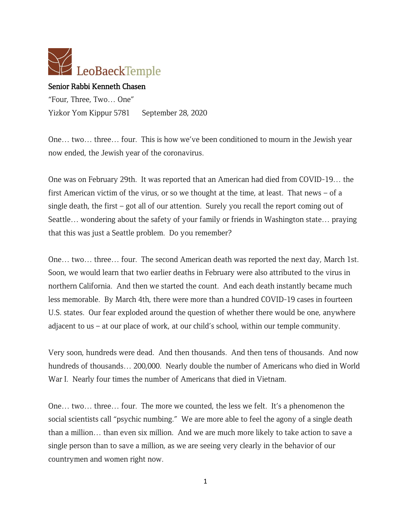

## Senior Rabbi Kenneth Chasen

"Four, Three, Two… One" Yizkor Yom Kippur 5781 September 28, 2020

One… two… three… four. This is how we've been conditioned to mourn in the Jewish year now ended, the Jewish year of the coronavirus.

One was on February 29th. It was reported that an American had died from COVID-19… the first American victim of the virus, or so we thought at the time, at least. That news – of a single death, the first – got all of our attention. Surely you recall the report coming out of Seattle… wondering about the safety of your family or friends in Washington state… praying that this was just a Seattle problem. Do you remember?

One… two… three… four. The second American death was reported the next day, March 1st. Soon, we would learn that two earlier deaths in February were also attributed to the virus in northern California. And then we started the count. And each death instantly became much less memorable. By March 4th, there were more than a hundred COVID-19 cases in fourteen U.S. states. Our fear exploded around the question of whether there would be one, anywhere adjacent to us – at our place of work, at our child's school, within our temple community.

Very soon, hundreds were dead. And then thousands. And then tens of thousands. And now hundreds of thousands… 200,000. Nearly double the number of Americans who died in World War I. Nearly four times the number of Americans that died in Vietnam.

One… two… three… four. The more we counted, the less we felt. It's a phenomenon the social scientists call "psychic numbing." We are more able to feel the agony of a single death than a million… than even six million. And we are much more likely to take action to save a single person than to save a million, as we are seeing very clearly in the behavior of our countrymen and women right now.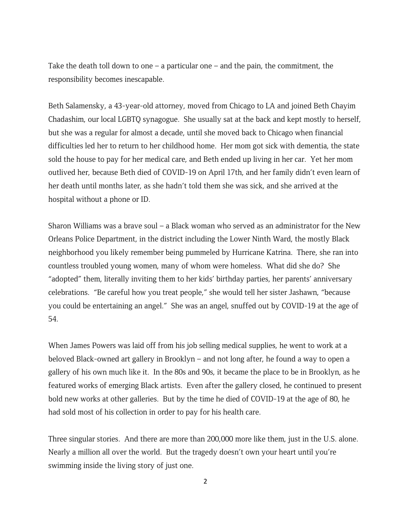Take the death toll down to one  $-$  a particular one  $-$  and the pain, the commitment, the responsibility becomes inescapable.

Beth Salamensky, a 43-year-old attorney, moved from Chicago to LA and joined Beth Chayim Chadashim, our local LGBTQ synagogue. She usually sat at the back and kept mostly to herself, but she was a regular for almost a decade, until she moved back to Chicago when financial difficulties led her to return to her childhood home. Her mom got sick with dementia, the state sold the house to pay for her medical care, and Beth ended up living in her car. Yet her mom outlived her, because Beth died of COVID-19 on April 17th, and her family didn't even learn of her death until months later, as she hadn't told them she was sick, and she arrived at the hospital without a phone or ID.

Sharon Williams was a brave soul – a Black woman who served as an administrator for the New Orleans Police Department, in the district including the Lower Ninth Ward, the mostly Black neighborhood you likely remember being pummeled by Hurricane Katrina. There, she ran into countless troubled young women, many of whom were homeless. What did she do? She "adopted" them, literally inviting them to her kids' birthday parties, her parents' anniversary celebrations. "Be careful how you treat people," she would tell her sister Jashawn, "because you could be entertaining an angel." She was an angel, snuffed out by COVID-19 at the age of 54.

When James Powers was laid off from his job selling medical supplies, he went to work at a beloved Black-owned art gallery in Brooklyn – and not long after, he found a way to open a gallery of his own much like it. In the 80s and 90s, it became the place to be in Brooklyn, as he featured works of emerging Black artists. Even after the gallery closed, he continued to present bold new works at other galleries. But by the time he died of COVID-19 at the age of 80, he had sold most of his collection in order to pay for his health care.

Three singular stories. And there are more than 200,000 more like them, just in the U.S. alone. Nearly a million all over the world. But the tragedy doesn't own your heart until you're swimming inside the living story of just one.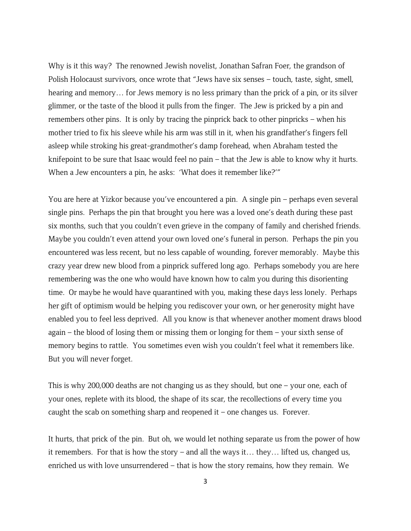Why is it this way? The renowned Jewish novelist, Jonathan Safran Foer, the grandson of Polish Holocaust survivors, once wrote that "Jews have six senses – touch, taste, sight, smell, hearing and memory… for Jews memory is no less primary than the prick of a pin, or its silver glimmer, or the taste of the blood it pulls from the finger. The Jew is pricked by a pin and remembers other pins. It is only by tracing the pinprick back to other pinpricks – when his mother tried to fix his sleeve while his arm was still in it, when his grandfather's fingers fell asleep while stroking his great-grandmother's damp forehead, when Abraham tested the knifepoint to be sure that Isaac would feel no pain – that the Jew is able to know why it hurts. When a Jew encounters a pin, he asks: 'What does it remember like?'"

You are here at Yizkor because you've encountered a pin. A single pin – perhaps even several single pins. Perhaps the pin that brought you here was a loved one's death during these past six months, such that you couldn't even grieve in the company of family and cherished friends. Maybe you couldn't even attend your own loved one's funeral in person. Perhaps the pin you encountered was less recent, but no less capable of wounding, forever memorably. Maybe this crazy year drew new blood from a pinprick suffered long ago. Perhaps somebody you are here remembering was the one who would have known how to calm you during this disorienting time. Or maybe he would have quarantined with you, making these days less lonely. Perhaps her gift of optimism would be helping you rediscover your own, or her generosity might have enabled you to feel less deprived. All you know is that whenever another moment draws blood again – the blood of losing them or missing them or longing for them – your sixth sense of memory begins to rattle. You sometimes even wish you couldn't feel what it remembers like. But you will never forget.

This is why 200,000 deaths are not changing us as they should, but one – your one, each of your ones, replete with its blood, the shape of its scar, the recollections of every time you caught the scab on something sharp and reopened it  $-$  one changes us. Forever.

It hurts, that prick of the pin. But oh, we would let nothing separate us from the power of how it remembers. For that is how the story – and all the ways it… they… lifted us, changed us, enriched us with love unsurrendered – that is how the story remains, how they remain. We